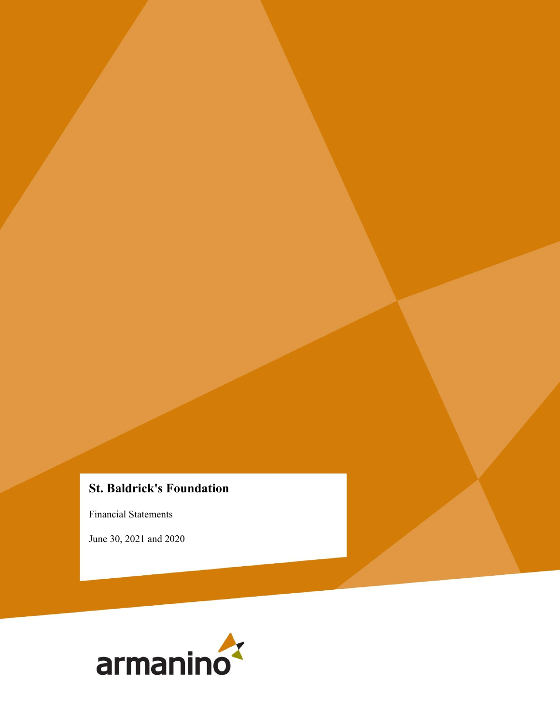# **St. Baldrick's Foundation**

Financial Statements

June 30, 2021 and 2020

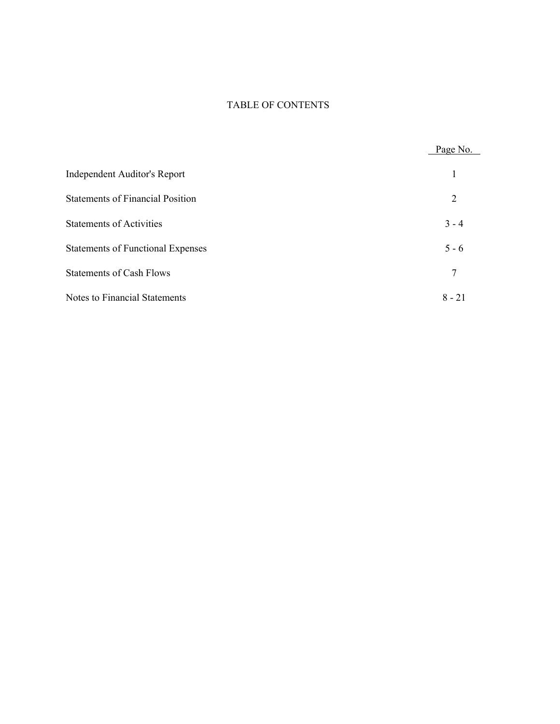## TABLE OF CONTENTS

|                                          | Page No. |
|------------------------------------------|----------|
| Independent Auditor's Report             |          |
| <b>Statements of Financial Position</b>  | 2        |
| <b>Statements of Activities</b>          | $3 - 4$  |
| <b>Statements of Functional Expenses</b> | $5 - 6$  |
| <b>Statements of Cash Flows</b>          | 7        |
| <b>Notes to Financial Statements</b>     | $8 - 21$ |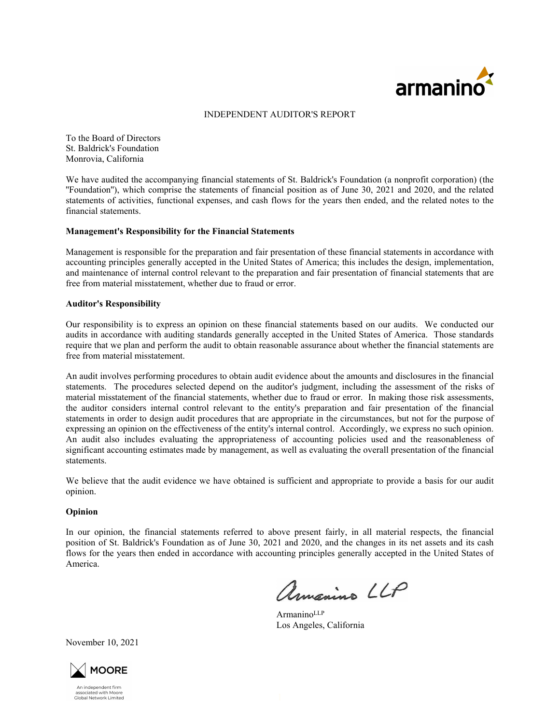

#### INDEPENDENT AUDITOR'S REPORT

To the Board of Directors St. Baldrick's Foundation Monrovia, California

We have audited the accompanying financial statements of St. Baldrick's Foundation (a nonprofit corporation) (the ''Foundation''), which comprise the statements of financial position as of June 30, 2021 and 2020, and the related statements of activities, functional expenses, and cash flows for the years then ended, and the related notes to the financial statements.

#### **Management's Responsibility for the Financial Statements**

Management is responsible for the preparation and fair presentation of these financial statements in accordance with accounting principles generally accepted in the United States of America; this includes the design, implementation, and maintenance of internal control relevant to the preparation and fair presentation of financial statements that are free from material misstatement, whether due to fraud or error.

#### **Auditor's Responsibility**

Our responsibility is to express an opinion on these financial statements based on our audits. We conducted our audits in accordance with auditing standards generally accepted in the United States of America. Those standards require that we plan and perform the audit to obtain reasonable assurance about whether the financial statements are free from material misstatement.

An audit involves performing procedures to obtain audit evidence about the amounts and disclosures in the financial statements. The procedures selected depend on the auditor's judgment, including the assessment of the risks of material misstatement of the financial statements, whether due to fraud or error. In making those risk assessments, the auditor considers internal control relevant to the entity's preparation and fair presentation of the financial statements in order to design audit procedures that are appropriate in the circumstances, but not for the purpose of expressing an opinion on the effectiveness of the entity's internal control. Accordingly, we express no such opinion. An audit also includes evaluating the appropriateness of accounting policies used and the reasonableness of significant accounting estimates made by management, as well as evaluating the overall presentation of the financial statements.

We believe that the audit evidence we have obtained is sufficient and appropriate to provide a basis for our audit opinion.

#### **Opinion**

In our opinion, the financial statements referred to above present fairly, in all material respects, the financial position of St. Baldrick's Foundation as of June 30, 2021 and 2020, and the changes in its net assets and its cash flows for the years then ended in accordance with accounting principles generally accepted in the United States of America.

armanino LLP

Armanino<sup>LLP</sup> Los Angeles, California

November 10, 2021



An indenendent firm Armdependent mm<br>associated with Moore<br>Global Network Limited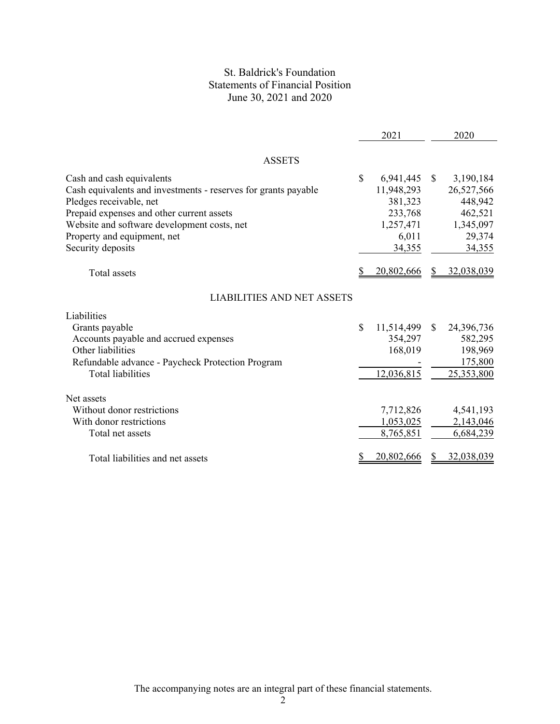## St. Baldrick's Foundation Statements of Financial Position June 30, 2021 and 2020

|                                                                                                                                                                                                                                                                        |              | 2021                                                                          |               | 2020                                                                           |
|------------------------------------------------------------------------------------------------------------------------------------------------------------------------------------------------------------------------------------------------------------------------|--------------|-------------------------------------------------------------------------------|---------------|--------------------------------------------------------------------------------|
| <b>ASSETS</b>                                                                                                                                                                                                                                                          |              |                                                                               |               |                                                                                |
| Cash and cash equivalents<br>Cash equivalents and investments - reserves for grants payable<br>Pledges receivable, net<br>Prepaid expenses and other current assets<br>Website and software development costs, net<br>Property and equipment, net<br>Security deposits | $\mathbb{S}$ | 6,941,445<br>11,948,293<br>381,323<br>233,768<br>1,257,471<br>6,011<br>34,355 | <sup>S</sup>  | 3,190,184<br>26,527,566<br>448,942<br>462,521<br>1,345,097<br>29,374<br>34,355 |
| <b>Total</b> assets                                                                                                                                                                                                                                                    |              | 20,802,666                                                                    | S             | 32,038,039                                                                     |
| <b>LIABILITIES AND NET ASSETS</b><br>Liabilities<br>Grants payable<br>Accounts payable and accrued expenses<br>Other liabilities<br>Refundable advance - Paycheck Protection Program<br><b>Total liabilities</b>                                                       | $\mathbb{S}$ | 11,514,499<br>354,297<br>168,019<br>12,036,815                                | <sup>\$</sup> | 24,396,736<br>582,295<br>198,969<br>175,800<br>25,353,800                      |
| Net assets<br>Without donor restrictions<br>With donor restrictions<br>Total net assets<br>Total liabilities and net assets                                                                                                                                            |              | 7,712,826<br>1,053,025<br>8,765,851<br>20,802,666                             |               | 4,541,193<br>2,143,046<br>6,684,239<br>32,038,039                              |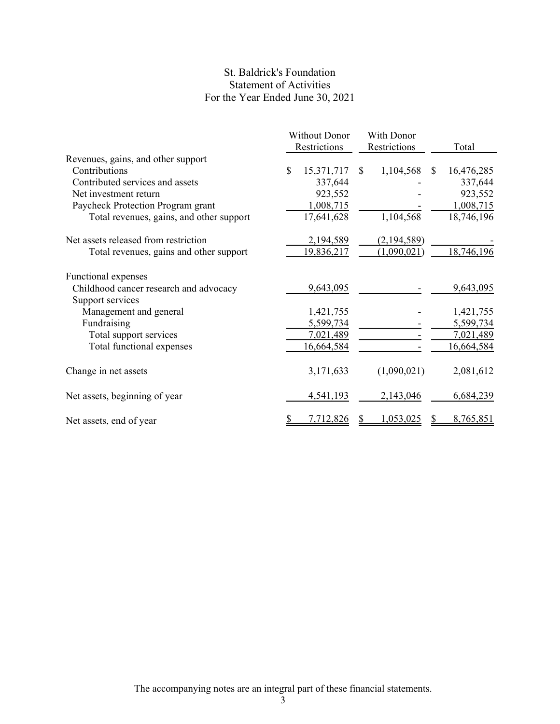## St. Baldrick's Foundation Statement of Activities For the Year Ended June 30, 2021

|                                          |   | <b>Without Donor</b> |               | With Donor   |               |            |
|------------------------------------------|---|----------------------|---------------|--------------|---------------|------------|
|                                          |   | Restrictions         |               | Restrictions |               | Total      |
| Revenues, gains, and other support       |   |                      |               |              |               |            |
| Contributions                            | S | 15,371,717           | <sup>\$</sup> | 1,104,568    | <sup>\$</sup> | 16,476,285 |
| Contributed services and assets          |   | 337,644              |               |              |               | 337,644    |
| Net investment return                    |   | 923,552              |               |              |               | 923,552    |
| Paycheck Protection Program grant        |   | 1,008,715            |               |              |               | 1,008,715  |
| Total revenues, gains, and other support |   | 17,641,628           |               | 1,104,568    |               | 18,746,196 |
| Net assets released from restriction     |   | 2,194,589            |               | (2,194,589)  |               |            |
| Total revenues, gains and other support  |   | 19,836,217           |               | (1,090,021)  |               | 18,746,196 |
| Functional expenses                      |   |                      |               |              |               |            |
| Childhood cancer research and advocacy   |   | 9,643,095            |               |              |               | 9,643,095  |
| Support services                         |   |                      |               |              |               |            |
| Management and general                   |   | 1,421,755            |               |              |               | 1,421,755  |
| Fundraising                              |   | 5,599,734            |               |              |               | 5,599,734  |
| Total support services                   |   | 7,021,489            |               |              |               | 7,021,489  |
| Total functional expenses                |   | 16,664,584           |               |              |               | 16,664,584 |
| Change in net assets                     |   | 3,171,633            |               | (1,090,021)  |               | 2,081,612  |
| Net assets, beginning of year            |   | 4,541,193            |               | 2,143,046    |               | 6,684,239  |
| Net assets, end of year                  |   | 7,712,826            |               | 1,053,025    |               | 8,765,851  |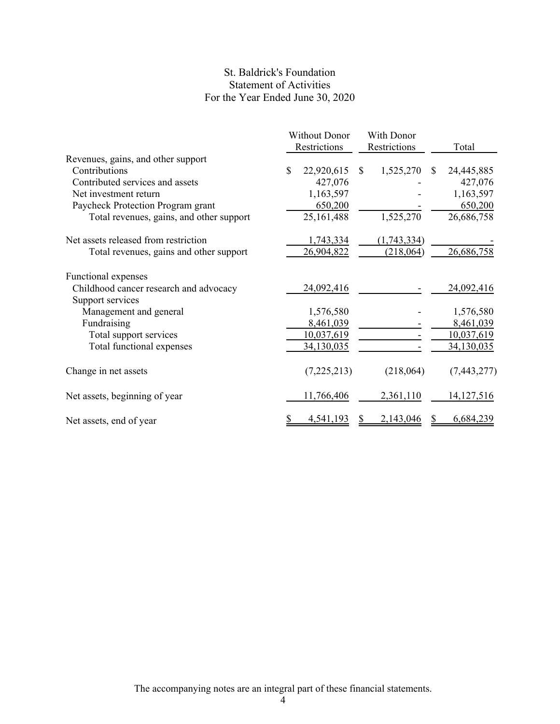## St. Baldrick's Foundation Statement of Activities For the Year Ended June 30, 2020

|                                          | <b>Without Donor</b> |     | With Donor   |               |             |
|------------------------------------------|----------------------|-----|--------------|---------------|-------------|
|                                          | Restrictions         |     | Restrictions |               | Total       |
| Revenues, gains, and other support       |                      |     |              |               |             |
| Contributions                            | \$<br>22,920,615     | \$. | 1,525,270    | <sup>\$</sup> | 24,445,885  |
| Contributed services and assets          | 427,076              |     |              |               | 427,076     |
| Net investment return                    | 1,163,597            |     |              |               | 1,163,597   |
| Paycheck Protection Program grant        | 650,200              |     |              |               | 650,200     |
| Total revenues, gains, and other support | 25,161,488           |     | 1,525,270    |               | 26,686,758  |
| Net assets released from restriction     | 1,743,334            |     | (1,743,334)  |               |             |
| Total revenues, gains and other support  | 26,904,822           |     | (218,064)    |               | 26,686,758  |
| Functional expenses                      |                      |     |              |               |             |
| Childhood cancer research and advocacy   | 24,092,416           |     |              |               | 24,092,416  |
| Support services                         |                      |     |              |               |             |
| Management and general                   | 1,576,580            |     |              |               | 1,576,580   |
| Fundraising                              | 8,461,039            |     |              |               | 8,461,039   |
| Total support services                   | 10,037,619           |     |              |               | 10,037,619  |
| Total functional expenses                | 34,130,035           |     |              |               | 34,130,035  |
| Change in net assets                     | (7,225,213)          |     | (218,064)    |               | (7,443,277) |
| Net assets, beginning of year            | 11,766,406           |     | 2,361,110    |               | 14,127,516  |
| Net assets, end of year                  | 4,541,193            |     | 2,143,046    |               | 6,684,239   |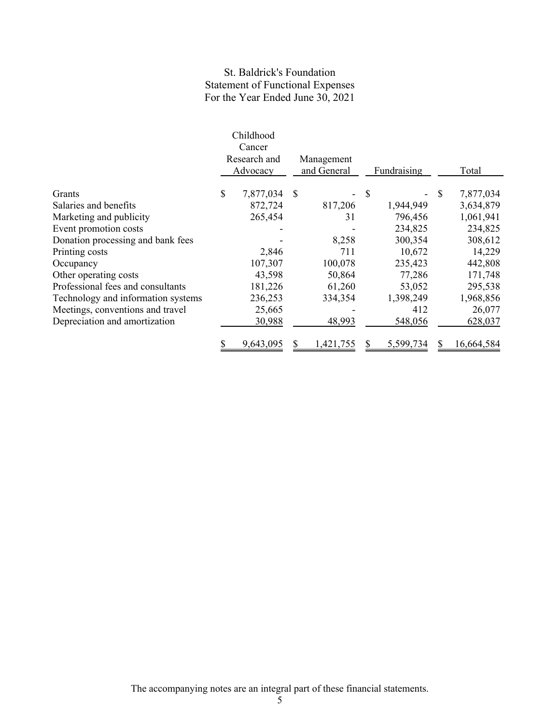## St. Baldrick's Foundation Statement of Functional Expenses For the Year Ended June 30, 2021

|                                    | Childhood       |               |             |                           |             |                 |
|------------------------------------|-----------------|---------------|-------------|---------------------------|-------------|-----------------|
|                                    | Cancer          |               |             |                           |             |                 |
|                                    | Research and    |               | Management  |                           |             |                 |
|                                    | Advocacy        |               | and General |                           | Fundraising | Total           |
| Grants                             | \$<br>7,877,034 | <sup>\$</sup> |             | $\boldsymbol{\mathsf{S}}$ |             | \$<br>7,877,034 |
| Salaries and benefits              | 872,724         |               | 817,206     |                           | 1,944,949   | 3,634,879       |
| Marketing and publicity            | 265,454         |               | 31          |                           | 796,456     | 1,061,941       |
| Event promotion costs              |                 |               |             |                           | 234,825     | 234,825         |
| Donation processing and bank fees  |                 |               | 8,258       |                           | 300,354     | 308,612         |
| Printing costs                     | 2,846           |               | 711         |                           | 10,672      | 14,229          |
| Occupancy                          | 107,307         |               | 100,078     |                           | 235,423     | 442,808         |
| Other operating costs              | 43,598          |               | 50,864      |                           | 77,286      | 171,748         |
| Professional fees and consultants  | 181,226         |               | 61,260      |                           | 53,052      | 295,538         |
| Technology and information systems | 236,253         |               | 334,354     |                           | 1,398,249   | 1,968,856       |
| Meetings, conventions and travel   | 25,665          |               |             |                           | 412         | 26,077          |
| Depreciation and amortization      | 30,988          |               | 48,993      |                           | 548,056     | 628,037         |
|                                    | 9,643,095       |               | ,421,755    |                           | 5,599,734   | 16,664,584      |

The accompanying notes are an integral part of these financial statements.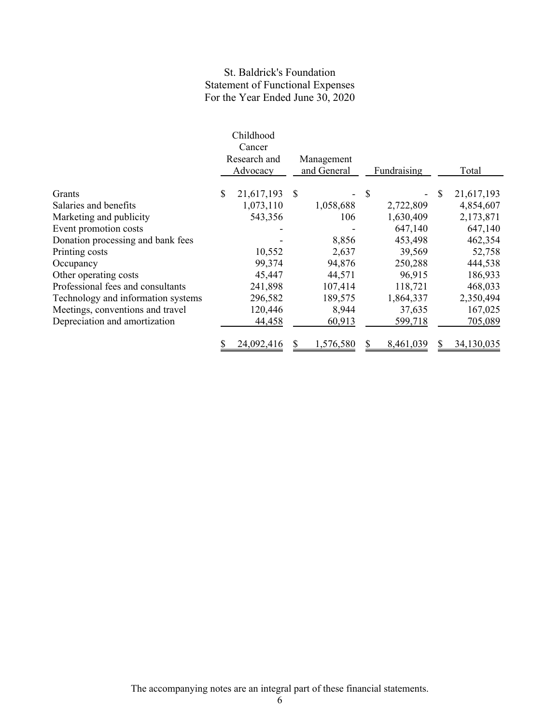## St. Baldrick's Foundation Statement of Functional Expenses For the Year Ended June 30, 2020

|                                    | Childhood<br>Cancer<br>Research and<br>Advocacy |   | Management<br>and General | Fundraising | Total            |
|------------------------------------|-------------------------------------------------|---|---------------------------|-------------|------------------|
|                                    |                                                 |   |                           |             |                  |
| Grants                             | \$<br>21,617,193                                | S |                           | \$          | \$<br>21,617,193 |
| Salaries and benefits              | 1,073,110                                       |   | 1,058,688                 | 2,722,809   | 4,854,607        |
| Marketing and publicity            | 543,356                                         |   | 106                       | 1,630,409   | 2,173,871        |
| Event promotion costs              |                                                 |   |                           | 647,140     | 647,140          |
| Donation processing and bank fees  |                                                 |   | 8,856                     | 453,498     | 462,354          |
| Printing costs                     | 10,552                                          |   | 2,637                     | 39,569      | 52,758           |
| Occupancy                          | 99,374                                          |   | 94,876                    | 250,288     | 444,538          |
| Other operating costs              | 45,447                                          |   | 44,571                    | 96,915      | 186,933          |
| Professional fees and consultants  | 241,898                                         |   | 107,414                   | 118,721     | 468,033          |
| Technology and information systems | 296,582                                         |   | 189,575                   | 1,864,337   | 2,350,494        |
| Meetings, conventions and travel   | 120,446                                         |   | 8,944                     | 37,635      | 167,025          |
| Depreciation and amortization      | 44,458                                          |   | 60,913                    | 599,718     | 705,089          |
|                                    | 24,092,416                                      |   | 1,576,580                 | 8,461,039   | 34,130,035       |

The accompanying notes are an integral part of these financial statements.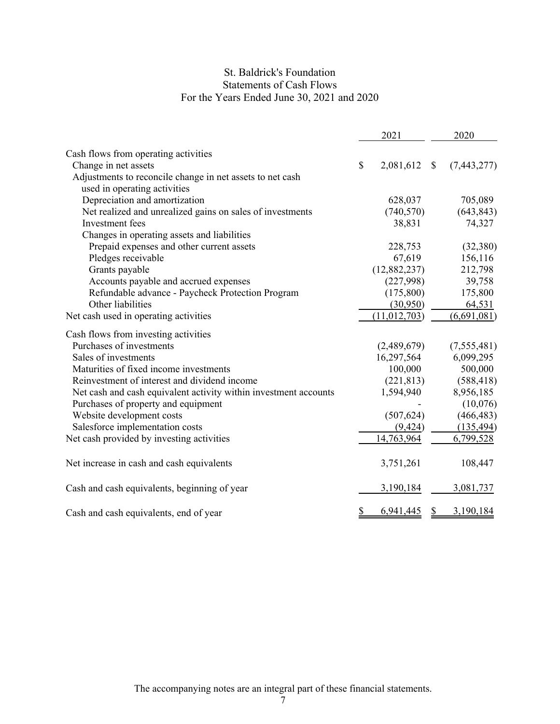## St. Baldrick's Foundation Statements of Cash Flows For the Years Ended June 30, 2021 and 2020

|                                                                                           | 2021            |              | 2020        |
|-------------------------------------------------------------------------------------------|-----------------|--------------|-------------|
| Cash flows from operating activities                                                      |                 |              |             |
| Change in net assets                                                                      | \$<br>2,081,612 | $\mathbb{S}$ | (7,443,277) |
| Adjustments to reconcile change in net assets to net cash<br>used in operating activities |                 |              |             |
| Depreciation and amortization                                                             | 628,037         |              | 705,089     |
| Net realized and unrealized gains on sales of investments                                 | (740, 570)      |              | (643, 843)  |
| Investment fees                                                                           | 38,831          |              | 74,327      |
| Changes in operating assets and liabilities                                               |                 |              |             |
| Prepaid expenses and other current assets                                                 | 228,753         |              | (32, 380)   |
| Pledges receivable                                                                        | 67,619          |              | 156,116     |
| Grants payable                                                                            | (12, 882, 237)  |              | 212,798     |
| Accounts payable and accrued expenses                                                     | (227,998)       |              | 39,758      |
| Refundable advance - Paycheck Protection Program                                          | (175,800)       |              | 175,800     |
| Other liabilities                                                                         | (30,950)        |              | 64,531      |
| Net cash used in operating activities                                                     | (11, 012, 703)  |              | (6,691,081) |
| Cash flows from investing activities                                                      |                 |              |             |
| Purchases of investments                                                                  | (2,489,679)     |              | (7,555,481) |
| Sales of investments                                                                      | 16,297,564      |              | 6,099,295   |
| Maturities of fixed income investments                                                    | 100,000         |              | 500,000     |
| Reinvestment of interest and dividend income                                              | (221, 813)      |              | (588, 418)  |
| Net cash and cash equivalent activity within investment accounts                          | 1,594,940       |              | 8,956,185   |
| Purchases of property and equipment                                                       |                 |              | (10,076)    |
| Website development costs                                                                 | (507, 624)      |              | (466, 483)  |
| Salesforce implementation costs                                                           | (9, 424)        |              | (135, 494)  |
| Net cash provided by investing activities                                                 | 14,763,964      |              | 6,799,528   |
| Net increase in cash and cash equivalents                                                 | 3,751,261       |              | 108,447     |
| Cash and cash equivalents, beginning of year                                              | 3,190,184       |              | 3,081,737   |
| Cash and cash equivalents, end of year                                                    | 6,941,445       |              | 3,190,184   |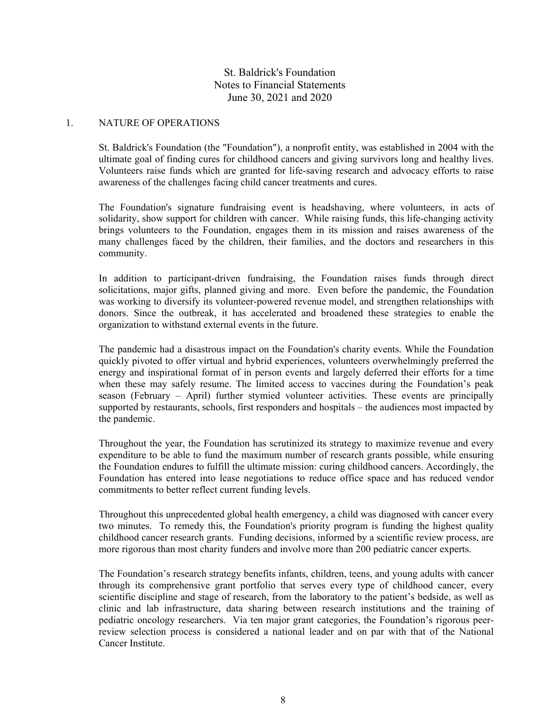### 1. NATURE OF OPERATIONS

St. Baldrick's Foundation (the "Foundation"), a nonprofit entity, was established in 2004 with the ultimate goal of finding cures for childhood cancers and giving survivors long and healthy lives. Volunteers raise funds which are granted for life-saving research and advocacy efforts to raise awareness of the challenges facing child cancer treatments and cures.

The Foundation's signature fundraising event is headshaving, where volunteers, in acts of solidarity, show support for children with cancer. While raising funds, this life-changing activity brings volunteers to the Foundation, engages them in its mission and raises awareness of the many challenges faced by the children, their families, and the doctors and researchers in this community.

In addition to participant-driven fundraising, the Foundation raises funds through direct solicitations, major gifts, planned giving and more. Even before the pandemic, the Foundation was working to diversify its volunteer-powered revenue model, and strengthen relationships with donors. Since the outbreak, it has accelerated and broadened these strategies to enable the organization to withstand external events in the future.

The pandemic had a disastrous impact on the Foundation's charity events. While the Foundation quickly pivoted to offer virtual and hybrid experiences, volunteers overwhelmingly preferred the energy and inspirational format of in person events and largely deferred their efforts for a time when these may safely resume. The limited access to vaccines during the Foundation's peak season (February – April) further stymied volunteer activities. These events are principally supported by restaurants, schools, first responders and hospitals – the audiences most impacted by the pandemic.

Throughout the year, the Foundation has scrutinized its strategy to maximize revenue and every expenditure to be able to fund the maximum number of research grants possible, while ensuring the Foundation endures to fulfill the ultimate mission: curing childhood cancers. Accordingly, the Foundation has entered into lease negotiations to reduce office space and has reduced vendor commitments to better reflect current funding levels.

Throughout this unprecedented global health emergency, a child was diagnosed with cancer every two minutes. To remedy this, the Foundation's priority program is funding the highest quality childhood cancer research grants. Funding decisions, informed by a scientific review process, are more rigorous than most charity funders and involve more than 200 pediatric cancer experts.

The Foundation's research strategy benefits infants, children, teens, and young adults with cancer through its comprehensive grant portfolio that serves every type of childhood cancer, every scientific discipline and stage of research, from the laboratory to the patient's bedside, as well as clinic and lab infrastructure, data sharing between research institutions and the training of pediatric oncology researchers. Via ten major grant categories, the Foundation's rigorous peerreview selection process is considered a national leader and on par with that of the National Cancer Institute.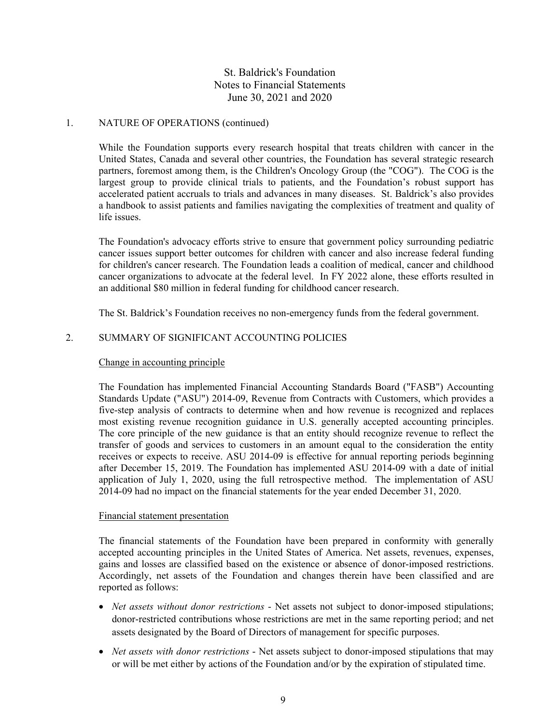### 1. NATURE OF OPERATIONS (continued)

While the Foundation supports every research hospital that treats children with cancer in the United States, Canada and several other countries, the Foundation has several strategic research partners, foremost among them, is the Children's Oncology Group (the "COG"). The COG is the largest group to provide clinical trials to patients, and the Foundation's robust support has accelerated patient accruals to trials and advances in many diseases. St. Baldrick's also provides a handbook to assist patients and families navigating the complexities of treatment and quality of life issues.

The Foundation's advocacy efforts strive to ensure that government policy surrounding pediatric cancer issues support better outcomes for children with cancer and also increase federal funding for children's cancer research. The Foundation leads a coalition of medical, cancer and childhood cancer organizations to advocate at the federal level. In FY 2022 alone, these efforts resulted in an additional \$80 million in federal funding for childhood cancer research.

The St. Baldrick's Foundation receives no non-emergency funds from the federal government.

## 2. SUMMARY OF SIGNIFICANT ACCOUNTING POLICIES

### Change in accounting principle

The Foundation has implemented Financial Accounting Standards Board ("FASB") Accounting Standards Update ("ASU") 2014-09, Revenue from Contracts with Customers, which provides a five-step analysis of contracts to determine when and how revenue is recognized and replaces most existing revenue recognition guidance in U.S. generally accepted accounting principles. The core principle of the new guidance is that an entity should recognize revenue to reflect the transfer of goods and services to customers in an amount equal to the consideration the entity receives or expects to receive. ASU 2014-09 is effective for annual reporting periods beginning after December 15, 2019. The Foundation has implemented ASU 2014-09 with a date of initial application of July 1, 2020, using the full retrospective method. The implementation of ASU 2014-09 had no impact on the financial statements for the year ended December 31, 2020.

### Financial statement presentation

The financial statements of the Foundation have been prepared in conformity with generally accepted accounting principles in the United States of America. Net assets, revenues, expenses, gains and losses are classified based on the existence or absence of donor-imposed restrictions. Accordingly, net assets of the Foundation and changes therein have been classified and are reported as follows:

- *Net assets without donor restrictions* Net assets not subject to donor-imposed stipulations; donor-restricted contributions whose restrictions are met in the same reporting period; and net assets designated by the Board of Directors of management for specific purposes.
- *Net assets with donor restrictions* Net assets subject to donor-imposed stipulations that may or will be met either by actions of the Foundation and/or by the expiration of stipulated time.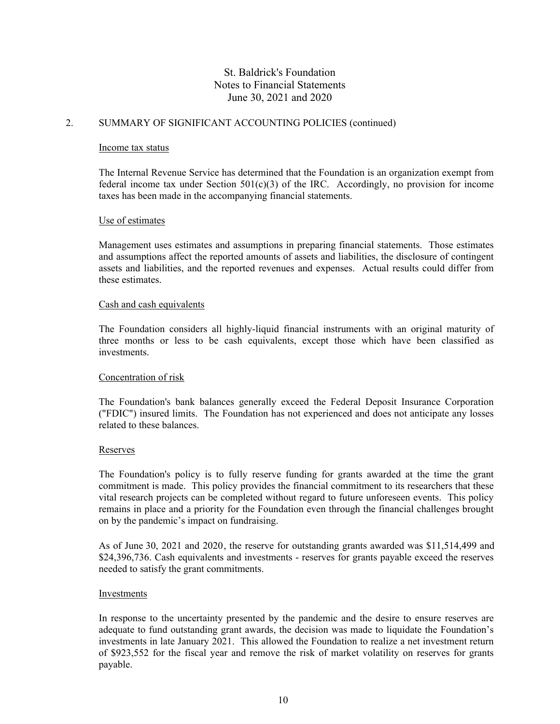## 2. SUMMARY OF SIGNIFICANT ACCOUNTING POLICIES (continued)

#### Income tax status

The Internal Revenue Service has determined that the Foundation is an organization exempt from federal income tax under Section 501(c)(3) of the IRC. Accordingly, no provision for income taxes has been made in the accompanying financial statements.

### Use of estimates

Management uses estimates and assumptions in preparing financial statements. Those estimates and assumptions affect the reported amounts of assets and liabilities, the disclosure of contingent assets and liabilities, and the reported revenues and expenses. Actual results could differ from these estimates.

#### Cash and cash equivalents

The Foundation considers all highly-liquid financial instruments with an original maturity of three months or less to be cash equivalents, except those which have been classified as investments.

### Concentration of risk

The Foundation's bank balances generally exceed the Federal Deposit Insurance Corporation ("FDIC") insured limits. The Foundation has not experienced and does not anticipate any losses related to these balances.

### Reserves

The Foundation's policy is to fully reserve funding for grants awarded at the time the grant commitment is made. This policy provides the financial commitment to its researchers that these vital research projects can be completed without regard to future unforeseen events. This policy remains in place and a priority for the Foundation even through the financial challenges brought on by the pandemic's impact on fundraising.

As of June 30, 2021 and 2020, the reserve for outstanding grants awarded was \$11,514,499 and \$24,396,736. Cash equivalents and investments - reserves for grants payable exceed the reserves needed to satisfy the grant commitments.

### Investments

In response to the uncertainty presented by the pandemic and the desire to ensure reserves are adequate to fund outstanding grant awards, the decision was made to liquidate the Foundation's investments in late January 2021. This allowed the Foundation to realize a net investment return of \$923,552 for the fiscal year and remove the risk of market volatility on reserves for grants payable.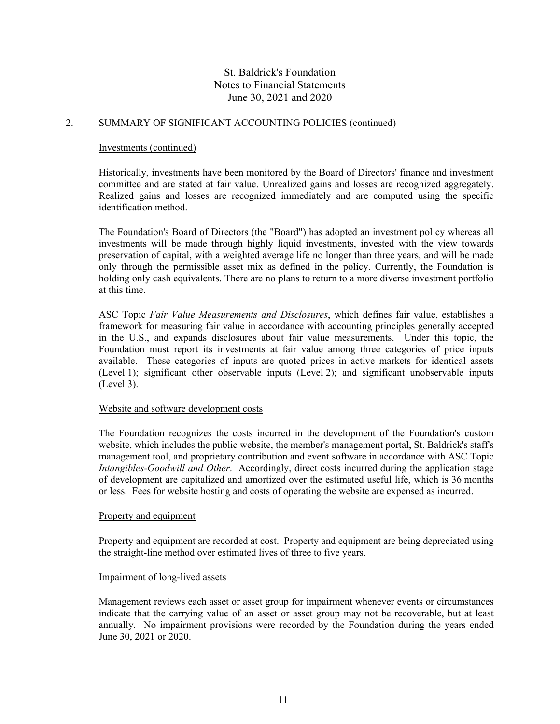## 2. SUMMARY OF SIGNIFICANT ACCOUNTING POLICIES (continued)

#### Investments (continued)

Historically, investments have been monitored by the Board of Directors' finance and investment committee and are stated at fair value. Unrealized gains and losses are recognized aggregately. Realized gains and losses are recognized immediately and are computed using the specific identification method.

The Foundation's Board of Directors (the "Board") has adopted an investment policy whereas all investments will be made through highly liquid investments, invested with the view towards preservation of capital, with a weighted average life no longer than three years, and will be made only through the permissible asset mix as defined in the policy. Currently, the Foundation is holding only cash equivalents. There are no plans to return to a more diverse investment portfolio at this time.

ASC Topic *Fair Value Measurements and Disclosures*, which defines fair value, establishes a framework for measuring fair value in accordance with accounting principles generally accepted in the U.S., and expands disclosures about fair value measurements. Under this topic, the Foundation must report its investments at fair value among three categories of price inputs available. These categories of inputs are quoted prices in active markets for identical assets (Level 1); significant other observable inputs (Level 2); and significant unobservable inputs (Level 3).

### Website and software development costs

The Foundation recognizes the costs incurred in the development of the Foundation's custom website, which includes the public website, the member's management portal, St. Baldrick's staff's management tool, and proprietary contribution and event software in accordance with ASC Topic *Intangibles-Goodwill and Other*. Accordingly, direct costs incurred during the application stage of development are capitalized and amortized over the estimated useful life, which is 36 months or less. Fees for website hosting and costs of operating the website are expensed as incurred.

### Property and equipment

Property and equipment are recorded at cost. Property and equipment are being depreciated using the straight-line method over estimated lives of three to five years.

#### Impairment of long-lived assets

Management reviews each asset or asset group for impairment whenever events or circumstances indicate that the carrying value of an asset or asset group may not be recoverable, but at least annually. No impairment provisions were recorded by the Foundation during the years ended June 30, 2021 or 2020.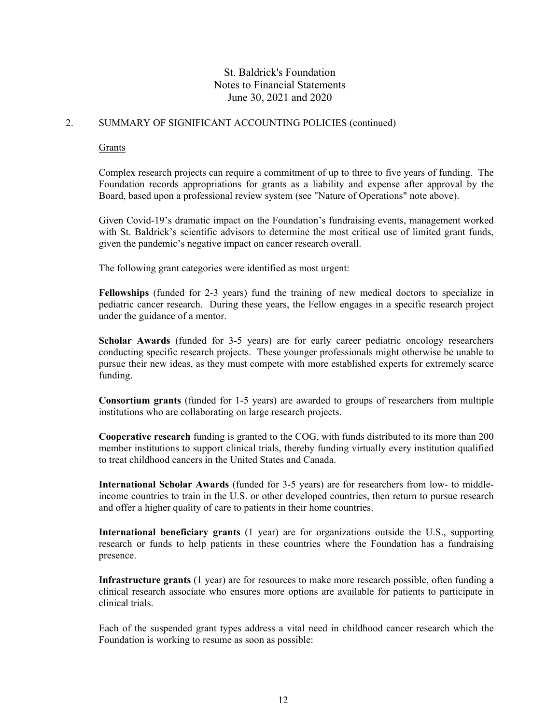## 2. SUMMARY OF SIGNIFICANT ACCOUNTING POLICIES (continued)

#### Grants

Complex research projects can require a commitment of up to three to five years of funding. The Foundation records appropriations for grants as a liability and expense after approval by the Board, based upon a professional review system (see "Nature of Operations" note above).

Given Covid-19's dramatic impact on the Foundation's fundraising events, management worked with St. Baldrick's scientific advisors to determine the most critical use of limited grant funds, given the pandemic's negative impact on cancer research overall.

The following grant categories were identified as most urgent:

**Fellowships** (funded for 2-3 years) fund the training of new medical doctors to specialize in pediatric cancer research. During these years, the Fellow engages in a specific research project under the guidance of a mentor.

**Scholar Awards** (funded for 3-5 years) are for early career pediatric oncology researchers conducting specific research projects. These younger professionals might otherwise be unable to pursue their new ideas, as they must compete with more established experts for extremely scarce funding.

**Consortium grants** (funded for 1-5 years) are awarded to groups of researchers from multiple institutions who are collaborating on large research projects.

**Cooperative research** funding is granted to the COG, with funds distributed to its more than 200 member institutions to support clinical trials, thereby funding virtually every institution qualified to treat childhood cancers in the United States and Canada.

**International Scholar Awards** (funded for 3-5 years) are for researchers from low- to middleincome countries to train in the U.S. or other developed countries, then return to pursue research and offer a higher quality of care to patients in their home countries.

**International beneficiary grants** (1 year) are for organizations outside the U.S., supporting research or funds to help patients in these countries where the Foundation has a fundraising presence.

**Infrastructure grants** (1 year) are for resources to make more research possible, often funding a clinical research associate who ensures more options are available for patients to participate in clinical trials.

Each of the suspended grant types address a vital need in childhood cancer research which the Foundation is working to resume as soon as possible: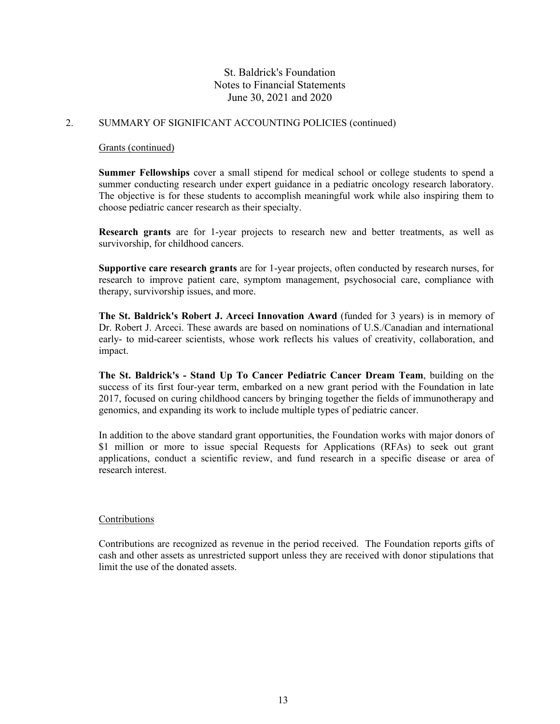## 2. SUMMARY OF SIGNIFICANT ACCOUNTING POLICIES (continued)

#### Grants (continued)

**Summer Fellowships** cover a small stipend for medical school or college students to spend a summer conducting research under expert guidance in a pediatric oncology research laboratory. The objective is for these students to accomplish meaningful work while also inspiring them to choose pediatric cancer research as their specialty.

**Research grants** are for 1-year projects to research new and better treatments, as well as survivorship, for childhood cancers.

**Supportive care research grants** are for 1-year projects, often conducted by research nurses, for research to improve patient care, symptom management, psychosocial care, compliance with therapy, survivorship issues, and more.

**The St. Baldrick's Robert J. Arceci Innovation Award** (funded for 3 years) is in memory of Dr. Robert J. Arceci. These awards are based on nominations of U.S./Canadian and international early- to mid-career scientists, whose work reflects his values of creativity, collaboration, and impact.

**The St. Baldrick's - Stand Up To Cancer Pediatric Cancer Dream Team**, building on the success of its first four-year term, embarked on a new grant period with the Foundation in late 2017, focused on curing childhood cancers by bringing together the fields of immunotherapy and genomics, and expanding its work to include multiple types of pediatric cancer.

In addition to the above standard grant opportunities, the Foundation works with major donors of \$1 million or more to issue special Requests for Applications (RFAs) to seek out grant applications, conduct a scientific review, and fund research in a specific disease or area of research interest.

### **Contributions**

Contributions are recognized as revenue in the period received. The Foundation reports gifts of cash and other assets as unrestricted support unless they are received with donor stipulations that limit the use of the donated assets.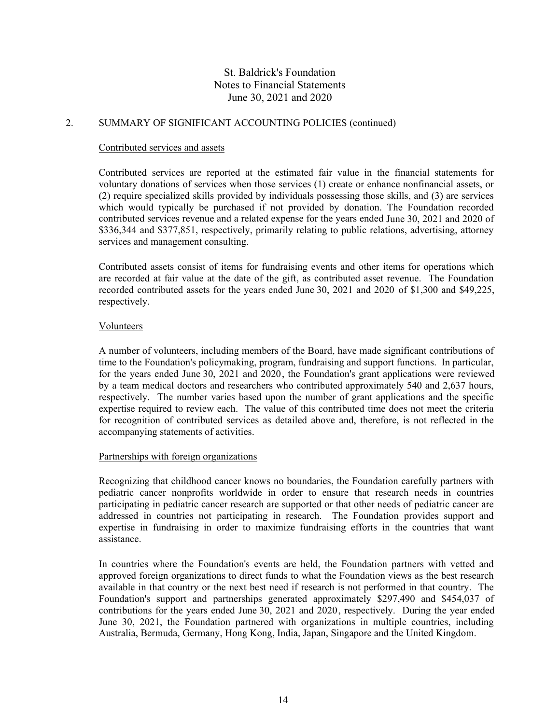## 2. SUMMARY OF SIGNIFICANT ACCOUNTING POLICIES (continued)

#### Contributed services and assets

Contributed services are reported at the estimated fair value in the financial statements for voluntary donations of services when those services (1) create or enhance nonfinancial assets, or (2) require specialized skills provided by individuals possessing those skills, and (3) are services which would typically be purchased if not provided by donation. The Foundation recorded contributed services revenue and a related expense for the years ended June 30, 2021 and 2020 of \$336,344 and \$377,851, respectively, primarily relating to public relations, advertising, attorney services and management consulting.

Contributed assets consist of items for fundraising events and other items for operations which are recorded at fair value at the date of the gift, as contributed asset revenue. The Foundation recorded contributed assets for the years ended June 30, 2021 and 2020 of \$1,300 and \$49,225, respectively.

### Volunteers

A number of volunteers, including members of the Board, have made significant contributions of time to the Foundation's policymaking, program, fundraising and support functions. In particular, for the years ended June 30, 2021 and 2020, the Foundation's grant applications were reviewed by a team medical doctors and researchers who contributed approximately 540 and 2,637 hours, respectively. The number varies based upon the number of grant applications and the specific expertise required to review each. The value of this contributed time does not meet the criteria for recognition of contributed services as detailed above and, therefore, is not reflected in the accompanying statements of activities.

### Partnerships with foreign organizations

Recognizing that childhood cancer knows no boundaries, the Foundation carefully partners with pediatric cancer nonprofits worldwide in order to ensure that research needs in countries participating in pediatric cancer research are supported or that other needs of pediatric cancer are addressed in countries not participating in research. The Foundation provides support and expertise in fundraising in order to maximize fundraising efforts in the countries that want assistance.

In countries where the Foundation's events are held, the Foundation partners with vetted and approved foreign organizations to direct funds to what the Foundation views as the best research available in that country or the next best need if research is not performed in that country. The Foundation's support and partnerships generated approximately \$297,490 and \$454,037 of contributions for the years ended June 30, 2021 and 2020, respectively. During the year ended June 30, 2021, the Foundation partnered with organizations in multiple countries, including Australia, Bermuda, Germany, Hong Kong, India, Japan, Singapore and the United Kingdom.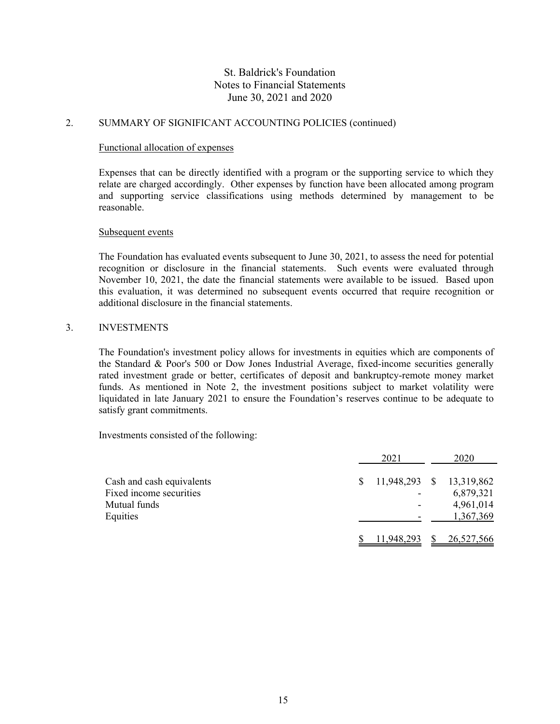## 2. SUMMARY OF SIGNIFICANT ACCOUNTING POLICIES (continued)

#### Functional allocation of expenses

Expenses that can be directly identified with a program or the supporting service to which they relate are charged accordingly. Other expenses by function have been allocated among program and supporting service classifications using methods determined by management to be reasonable.

#### Subsequent events

The Foundation has evaluated events subsequent to June 30, 2021, to assess the need for potential recognition or disclosure in the financial statements. Such events were evaluated through November 10, 2021, the date the financial statements were available to be issued. Based upon this evaluation, it was determined no subsequent events occurred that require recognition or additional disclosure in the financial statements.

### 3. INVESTMENTS

The Foundation's investment policy allows for investments in equities which are components of the Standard & Poor's 500 or Dow Jones Industrial Average, fixed-income securities generally rated investment grade or better, certificates of deposit and bankruptcy-remote money market funds. As mentioned in Note 2, the investment positions subject to market volatility were liquidated in late January 2021 to ensure the Foundation's reserves continue to be adequate to satisfy grant commitments.

Investments consisted of the following:

|                           | 2021       | 2020                     |
|---------------------------|------------|--------------------------|
| Cash and cash equivalents |            | 11,948,293 \$ 13,319,862 |
| Fixed income securities   |            | 6,879,321                |
| Mutual funds              |            | 4,961,014                |
| Equities                  |            | 1,367,369                |
|                           | 11,948,293 | 26,527,566               |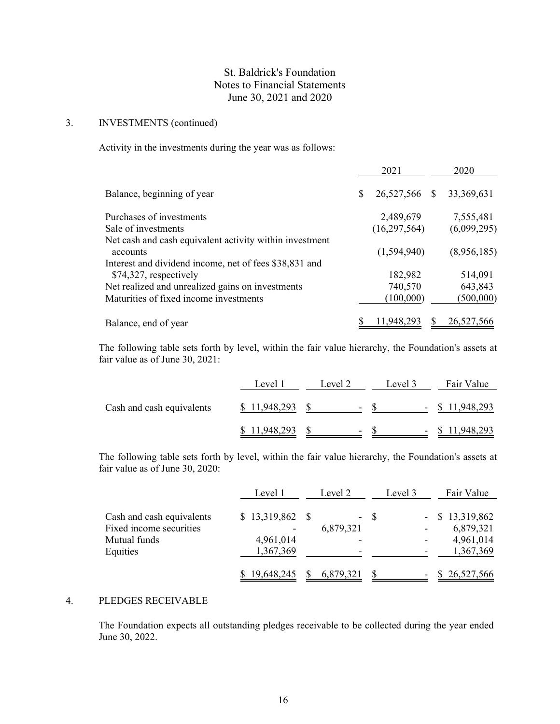## 3. INVESTMENTS (continued)

Activity in the investments during the year was as follows:

|                                                         |   | 2021           |              | 2020         |
|---------------------------------------------------------|---|----------------|--------------|--------------|
| Balance, beginning of year                              | S | 26,527,566     | <sup>S</sup> | 33, 369, 631 |
| Purchases of investments                                |   | 2,489,679      |              | 7,555,481    |
| Sale of investments                                     |   | (16, 297, 564) |              | (6,099,295)  |
| Net cash and cash equivalent activity within investment |   |                |              |              |
| accounts                                                |   | (1,594,940)    |              | (8,956,185)  |
| Interest and dividend income, net of fees \$38,831 and  |   |                |              |              |
| \$74,327, respectively                                  |   | 182,982        |              | 514,091      |
| Net realized and unrealized gains on investments        |   | 740,570        |              | 643,843      |
| Maturities of fixed income investments                  |   | (100,000)      |              | (500,000)    |
| Balance, end of year                                    |   | 11,948,293     |              | 26,527,566   |

The following table sets forth by level, within the fair value hierarchy, the Foundation's assets at fair value as of June 30, 2021:

|                           | Level 1    | Level 2                  | Level 3                  | Fair Value         |
|---------------------------|------------|--------------------------|--------------------------|--------------------|
| Cash and cash equivalents | 11,948,293 | $\overline{\phantom{0}}$ | $\overline{\phantom{a}}$ | 11,948,293<br>- 85 |
|                           | 11,948,293 | $\overline{\phantom{0}}$ | -                        | 11,948,293         |

The following table sets forth by level, within the fair value hierarchy, the Foundation's assets at fair value as of June 30, 2020:

|                                                                                  | Level 1                                          | Level 2   |                          | Fair Value                                               |  |
|----------------------------------------------------------------------------------|--------------------------------------------------|-----------|--------------------------|----------------------------------------------------------|--|
| Cash and cash equivalents<br>Fixed income securities<br>Mutual funds<br>Equities | $$13,319,862$ \\$<br>۰<br>4,961,014<br>1,367,369 | 6,879,321 | - \$<br>-                | $-$ \$ 13,319,862<br>6,879,321<br>4,961,014<br>1,367,369 |  |
|                                                                                  | 19,648,245                                       | 6,879,321 | $\overline{\phantom{0}}$ | \$26,527,566                                             |  |

## 4. PLEDGES RECEIVABLE

The Foundation expects all outstanding pledges receivable to be collected during the year ended June 30, 2022.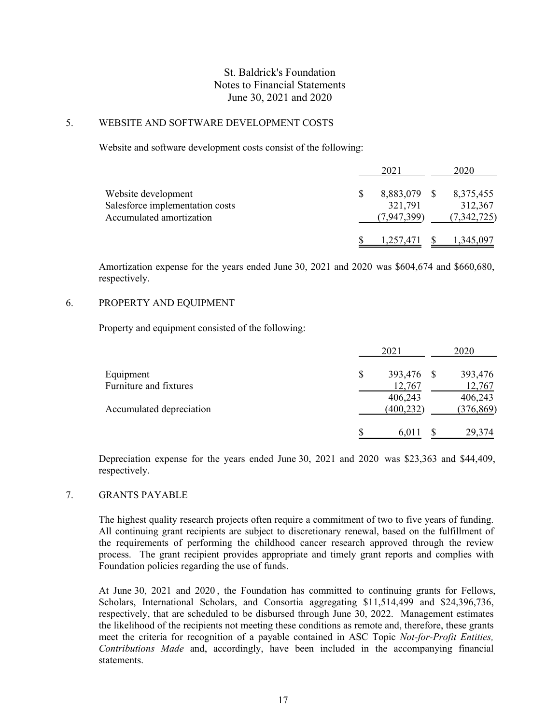## 5. WEBSITE AND SOFTWARE DEVELOPMENT COSTS

Website and software development costs consist of the following:

|                                 | 2021         | 2020        |
|---------------------------------|--------------|-------------|
| Website development             | 8,883,079 \$ | 8,375,455   |
| Salesforce implementation costs | 321,791      | 312,367     |
| Accumulated amortization        | (7,947,399)  | (7,342,725) |
|                                 | 1,257,471    | 1,345,097   |

Amortization expense for the years ended June 30, 2021 and 2020 was \$604,674 and \$660,680, respectively.

## 6. PROPERTY AND EQUIPMENT

Property and equipment consisted of the following:

|                          | 2021             | 2020       |
|--------------------------|------------------|------------|
| Equipment                | \$<br>393,476 \$ | 393,476    |
| Furniture and fixtures   | 12,767           | 12,767     |
|                          | 406,243          | 406,243    |
| Accumulated depreciation | (400, 232)       | (376, 869) |
|                          | 6,011            | 29,374     |

Depreciation expense for the years ended June 30, 2021 and 2020 was \$23,363 and \$44,409, respectively.

## 7. GRANTS PAYABLE

The highest quality research projects often require a commitment of two to five years of funding. All continuing grant recipients are subject to discretionary renewal, based on the fulfillment of the requirements of performing the childhood cancer research approved through the review process. The grant recipient provides appropriate and timely grant reports and complies with Foundation policies regarding the use of funds.

At June 30, 2021 and 2020 , the Foundation has committed to continuing grants for Fellows, Scholars, International Scholars, and Consortia aggregating \$11,514,499 and \$24,396,736, respectively, that are scheduled to be disbursed through June 30, 2022. Management estimates the likelihood of the recipients not meeting these conditions as remote and, therefore, these grants meet the criteria for recognition of a payable contained in ASC Topic *Not-for-Profit Entities, Contributions Made* and, accordingly, have been included in the accompanying financial statements.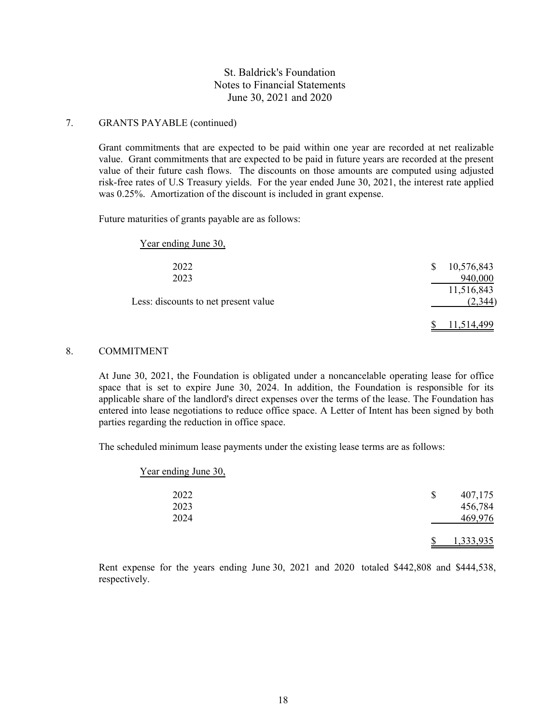## 7. GRANTS PAYABLE (continued)

Grant commitments that are expected to be paid within one year are recorded at net realizable value. Grant commitments that are expected to be paid in future years are recorded at the present value of their future cash flows. The discounts on those amounts are computed using adjusted risk-free rates of U.S Treasury yields. For the year ended June 30, 2021, the interest rate applied was 0.25%. Amortization of the discount is included in grant expense.

Future maturities of grants payable are as follows:

| Year ending June 30,                 |                 |
|--------------------------------------|-----------------|
| 2022                                 | 10,576,843<br>S |
| 2023                                 | 940,000         |
|                                      | 11,516,843      |
| Less: discounts to net present value | (2, 344)        |
|                                      | 11,514,499      |

## 8. COMMITMENT

At June 30, 2021, the Foundation is obligated under a noncancelable operating lease for office space that is set to expire June 30, 2024. In addition, the Foundation is responsible for its applicable share of the landlord's direct expenses over the terms of the lease. The Foundation has entered into lease negotiations to reduce office space. A Letter of Intent has been signed by both parties regarding the reduction in office space.

The scheduled minimum lease payments under the existing lease terms are as follows:

| Year ending June 30, |               |  |
|----------------------|---------------|--|
| 2022                 | \$<br>407,175 |  |
| 2023                 | 456,784       |  |
| 2024                 | 469,976       |  |
|                      | 1,333,935     |  |

Rent expense for the years ending June 30, 2021 and 2020 totaled \$442,808 and \$444,538, respectively.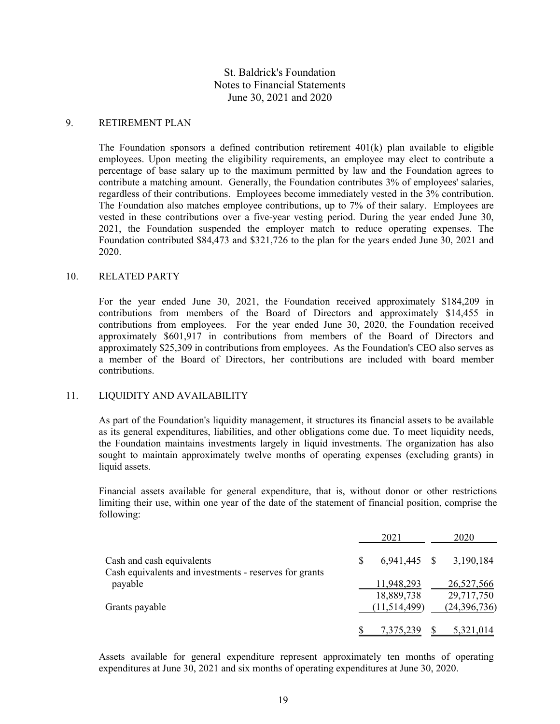### 9. RETIREMENT PLAN

The Foundation sponsors a defined contribution retirement  $401(k)$  plan available to eligible employees. Upon meeting the eligibility requirements, an employee may elect to contribute a percentage of base salary up to the maximum permitted by law and the Foundation agrees to contribute a matching amount. Generally, the Foundation contributes 3% of employees' salaries, regardless of their contributions. Employees become immediately vested in the 3% contribution. The Foundation also matches employee contributions, up to 7% of their salary. Employees are vested in these contributions over a five-year vesting period. During the year ended June 30, 2021, the Foundation suspended the employer match to reduce operating expenses. The Foundation contributed \$84,473 and \$321,726 to the plan for the years ended June 30, 2021 and 2020.

### 10. RELATED PARTY

For the year ended June 30, 2021, the Foundation received approximately \$184,209 in contributions from members of the Board of Directors and approximately \$14,455 in contributions from employees. For the year ended June 30, 2020, the Foundation received approximately \$601,917 in contributions from members of the Board of Directors and approximately \$25,309 in contributions from employees. As the Foundation's CEO also serves as a member of the Board of Directors, her contributions are included with board member contributions.

### 11. LIQUIDITY AND AVAILABILITY

As part of the Foundation's liquidity management, it structures its financial assets to be available as its general expenditures, liabilities, and other obligations come due. To meet liquidity needs, the Foundation maintains investments largely in liquid investments. The organization has also sought to maintain approximately twelve months of operating expenses (excluding grants) in liquid assets.

Financial assets available for general expenditure, that is, without donor or other restrictions limiting their use, within one year of the date of the statement of financial position, comprise the following:

|                                                                                     | 2021                     |  | 2020                     |  |
|-------------------------------------------------------------------------------------|--------------------------|--|--------------------------|--|
| Cash and cash equivalents<br>Cash equivalents and investments - reserves for grants | $6,941,445$ \$           |  | 3,190,184                |  |
| payable                                                                             | 11,948,293<br>18,889,738 |  | 26,527,566<br>29,717,750 |  |
| Grants payable                                                                      | (11,514,499)             |  | (24, 396, 736)           |  |
|                                                                                     | 7,375,239                |  | 5,321,014                |  |

Assets available for general expenditure represent approximately ten months of operating expenditures at June 30, 2021 and six months of operating expenditures at June 30, 2020.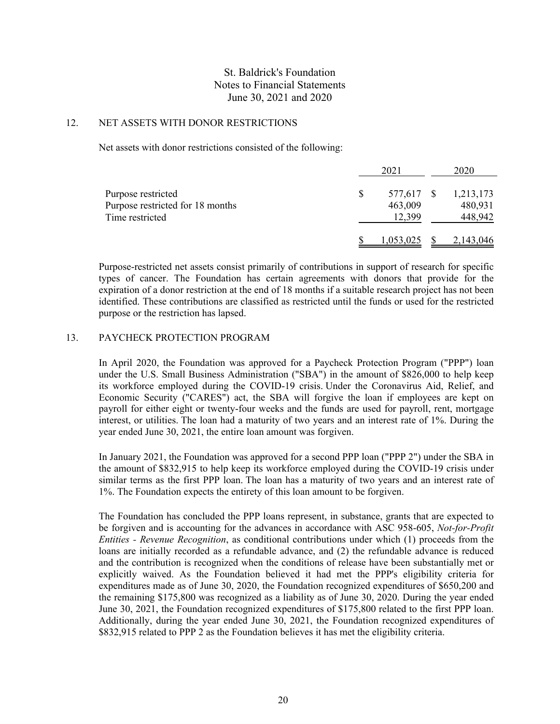## 12. NET ASSETS WITH DONOR RESTRICTIONS

Net assets with donor restrictions consisted of the following:

|                                  | 2021    | 2020                     |
|----------------------------------|---------|--------------------------|
| Purpose restricted               |         | 577,617 \$ 1,213,173     |
| Purpose restricted for 18 months | 463,009 | 480,931                  |
| Time restricted                  | 12.399  | 448,942                  |
|                                  |         | $1,053,025$ \$ 2,143,046 |

Purpose-restricted net assets consist primarily of contributions in support of research for specific types of cancer. The Foundation has certain agreements with donors that provide for the expiration of a donor restriction at the end of 18 months if a suitable research project has not been identified. These contributions are classified as restricted until the funds or used for the restricted purpose or the restriction has lapsed.

### 13. PAYCHECK PROTECTION PROGRAM

In April 2020, the Foundation was approved for a Paycheck Protection Program ("PPP") loan under the U.S. Small Business Administration ("SBA") in the amount of \$826,000 to help keep its workforce employed during the COVID-19 crisis. Under the Coronavirus Aid, Relief, and Economic Security ("CARES") act, the SBA will forgive the loan if employees are kept on payroll for either eight or twenty-four weeks and the funds are used for payroll, rent, mortgage interest, or utilities. The loan had a maturity of two years and an interest rate of 1%. During the year ended June 30, 2021, the entire loan amount was forgiven.

In January 2021, the Foundation was approved for a second PPP loan ("PPP 2") under the SBA in the amount of \$832,915 to help keep its workforce employed during the COVID-19 crisis under similar terms as the first PPP loan. The loan has a maturity of two years and an interest rate of 1%. The Foundation expects the entirety of this loan amount to be forgiven.

The Foundation has concluded the PPP loans represent, in substance, grants that are expected to be forgiven and is accounting for the advances in accordance with ASC 958-605, *Not-for-Profit Entities - Revenue Recognition*, as conditional contributions under which (1) proceeds from the loans are initially recorded as a refundable advance, and (2) the refundable advance is reduced and the contribution is recognized when the conditions of release have been substantially met or explicitly waived. As the Foundation believed it had met the PPP's eligibility criteria for expenditures made as of June 30, 2020, the Foundation recognized expenditures of \$650,200 and the remaining \$175,800 was recognized as a liability as of June 30, 2020. During the year ended June 30, 2021, the Foundation recognized expenditures of \$175,800 related to the first PPP loan. Additionally, during the year ended June 30, 2021, the Foundation recognized expenditures of \$832,915 related to PPP 2 as the Foundation believes it has met the eligibility criteria.